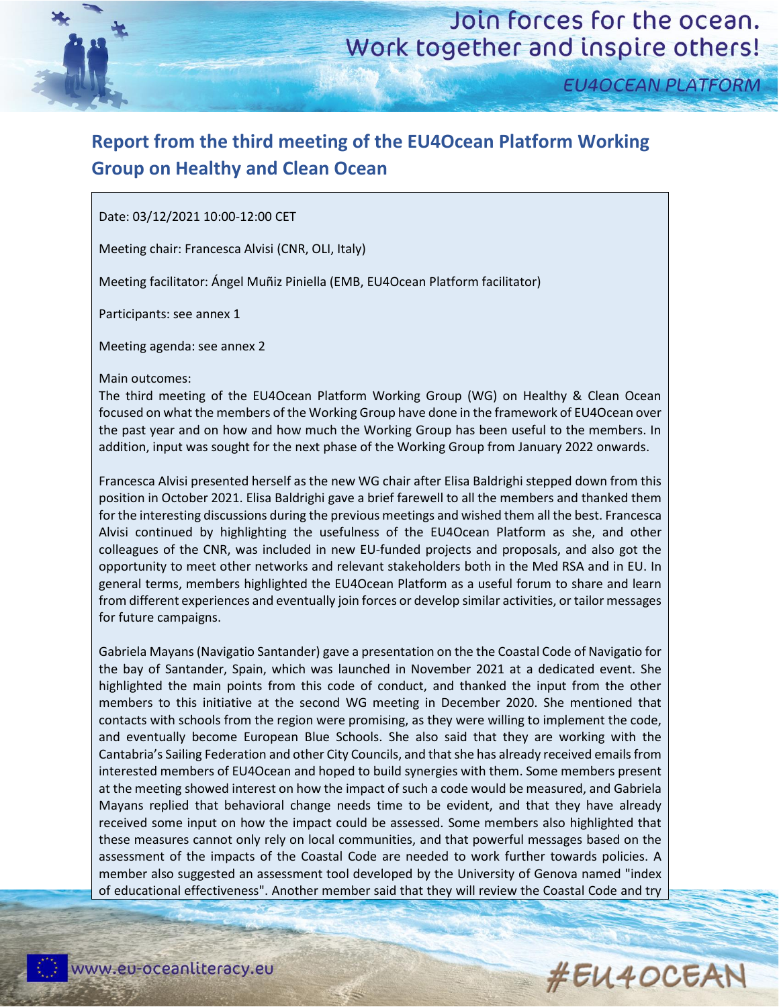

**EU4OCEAN PLATFORM** 

## **Report from the third meeting of the EU4Ocean Platform Working Group on Healthy and Clean Ocean**

Date: 03/12/2021 10:00-12:00 CET

Meeting chair: Francesca Alvisi (CNR, OLI, Italy)

Meeting facilitator: Ángel Muñiz Piniella (EMB, EU4Ocean Platform facilitator)

Participants: see annex 1

Meeting agenda: see annex 2

Main outcomes:

The third meeting of the EU4Ocean Platform Working Group (WG) on Healthy & Clean Ocean focused on what the members of the Working Group have done in the framework of EU4Ocean over the past year and on how and how much the Working Group has been useful to the members. In addition, input was sought for the next phase of the Working Group from January 2022 onwards.

Francesca Alvisi presented herself as the new WG chair after Elisa Baldrighi stepped down from this position in October 2021. Elisa Baldrighi gave a brief farewell to all the members and thanked them for the interesting discussions during the previous meetings and wished them all the best. Francesca Alvisi continued by highlighting the usefulness of the EU4Ocean Platform as she, and other colleagues of the CNR, was included in new EU-funded projects and proposals, and also got the opportunity to meet other networks and relevant stakeholders both in the Med RSA and in EU. In general terms, members highlighted the EU4Ocean Platform as a useful forum to share and learn from different experiences and eventually join forces or develop similar activities, or tailor messages for future campaigns.

Gabriela Mayans (Navigatio Santander) gave a presentation on the the Coastal Code of Navigatio for the bay of Santander, Spain, which was launched in November 2021 at a dedicated event. She highlighted the main points from this code of conduct, and thanked the input from the other members to this initiative at the second WG meeting in December 2020. She mentioned that contacts with schools from the region were promising, as they were willing to implement the code, and eventually become European Blue Schools. She also said that they are working with the Cantabria's Sailing Federation and other City Councils, and that she has already received emails from interested members of EU4Ocean and hoped to build synergies with them. Some members present at the meeting showed interest on how the impact of such a code would be measured, and Gabriela Mayans replied that behavioral change needs time to be evident, and that they have already received some input on how the impact could be assessed. Some members also highlighted that these measures cannot only rely on local communities, and that powerful messages based on the assessment of the impacts of the Coastal Code are needed to work further towards policies. A member also suggested an assessment tool developed by the University of Genova named "index of educational effectiveness". Another member said that they will review the Coastal Code and try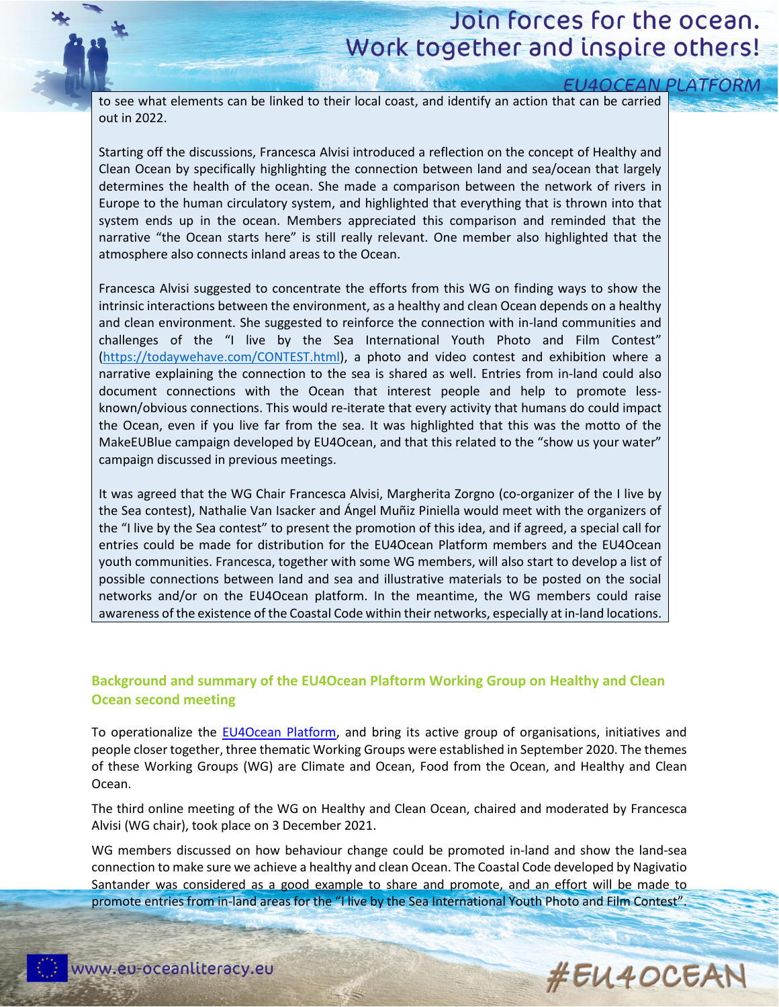# Join forces for the ocean. Work together and inspire others!

| <b>EU4OCEAN PLATFORM</b>                                                                            |  |
|-----------------------------------------------------------------------------------------------------|--|
| to see what elements can be linked to their local coast, and identify an action that can be carried |  |
| out in 2022.                                                                                        |  |

Starting off the discussions, Francesca Alvisi introduced a reflection on the concept of Healthy and Clean Ocean by specifically highlighting the connection between land and sea/ocean that largely determines the health of the ocean. She made a comparison between the network of rivers in Europe to the human circulatory system, and highlighted that everything that is thrown into that system ends up in the ocean. Members appreciated this comparison and reminded that the narrative "the Ocean starts here" is still really relevant. One member also highlighted that the atmosphere also connects inland areas to the Ocean.

Francesca Alvisi suggested to concentrate the efforts from this WG on finding ways to show the intrinsic interactions between the environment, as a healthy and clean Ocean depends on a healthy and clean environment. She suggested to reinforce the connection with in-land communities and challenges of the "I live by the Sea International Youth Photo and Film Contest" [\(https://todaywehave.com/CONTEST.html\)](https://todaywehave.com/CONTEST.html), a photo and video contest and exhibition where a narrative explaining the connection to the sea is shared as well. Entries from in-land could also document connections with the Ocean that interest people and help to promote lessknown/obvious connections. This would re-iterate that every activity that humans do could impact the Ocean, even if you live far from the sea. It was highlighted that this was the motto of the MakeEUBlue campaign developed by EU4Ocean, and that this related to the "show us your water" campaign discussed in previous meetings.

It was agreed that the WG Chair Francesca Alvisi, Margherita Zorgno (co-organizer of the I live by the Sea contest), Nathalie Van Isacker and Ángel Muñiz Piniella would meet with the organizers of the "I live by the Sea contest" to present the promotion of this idea, and if agreed, a special call for entries could be made for distribution for the EU4Ocean Platform members and the EU4Ocean youth communities. Francesca, together with some WG members, will also start to develop a list of possible connections between land and sea and illustrative materials to be posted on the social networks and/or on the EU4Ocean platform. In the meantime, the WG members could raise awareness of the existence of the Coastal Code within their networks, especially at in-land locations.

### **Background and summary of the EU4Ocean Plaftorm Working Group on Healthy and Clean Ocean second meeting**

To operationalize the [EU4Ocean Platform,](https://webgate.ec.europa.eu/maritimeforum/en/frontpage/1483) and bring its active group of organisations, initiatives and people closer together, three thematic Working Groups were established in September 2020. The themes of these Working Groups (WG) are Climate and Ocean, Food from the Ocean, and Healthy and Clean Ocean.

The third online meeting of the WG on Healthy and Clean Ocean, chaired and moderated by Francesca Alvisi (WG chair), took place on 3 December 2021.

WG members discussed on how behaviour change could be promoted in-land and show the land-sea connection to make sure we achieve a healthy and clean Ocean. The Coastal Code developed by Nagivatio Santander was considered as a good example to share and promote, and an effort will be made to promote entries from in-land areas for the "I live by the Sea International Youth Photo and Film Contest".

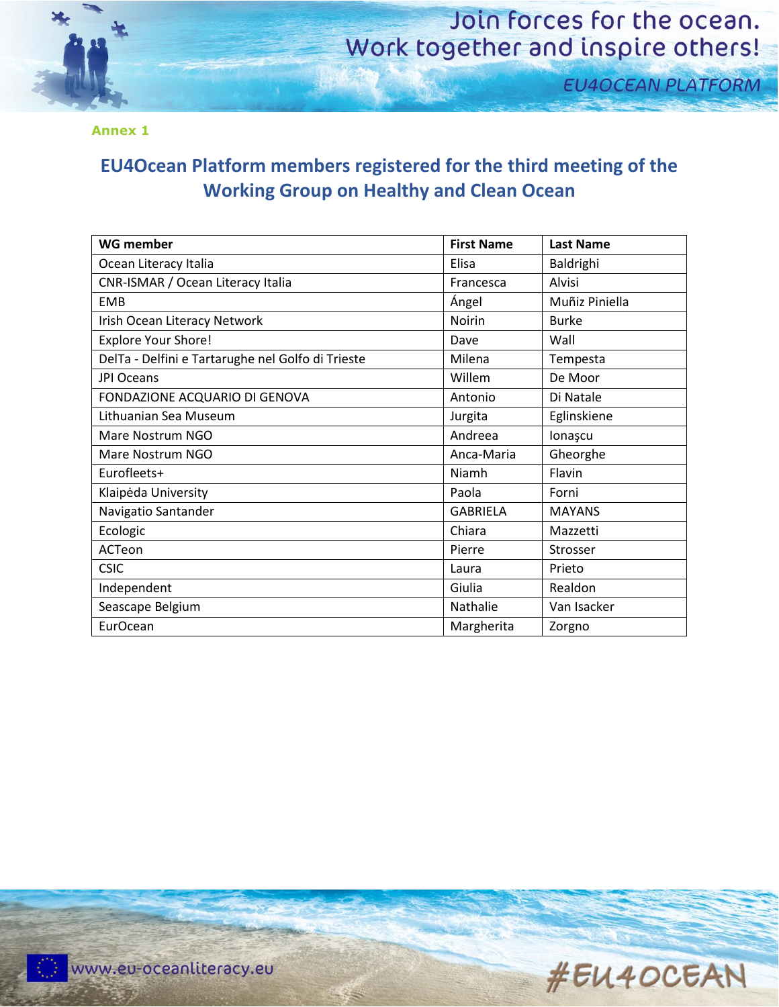

## Join forces for the ocean. Work together and inspire others!

**EU4OCEAN PLATFORM** 

**Annex 1**

### **EU4Ocean Platform members registered for the third meeting of the Working Group on Healthy and Clean Ocean**

| <b>WG member</b>                                  | <b>First Name</b> | <b>Last Name</b> |
|---------------------------------------------------|-------------------|------------------|
| Ocean Literacy Italia                             | Elisa             | Baldrighi        |
| CNR-ISMAR / Ocean Literacy Italia                 | Francesca         | Alvisi           |
| EMB                                               | Ángel             | Muñiz Piniella   |
| Irish Ocean Literacy Network                      | Noirin            | <b>Burke</b>     |
| <b>Explore Your Shore!</b>                        | Dave              | Wall             |
| DelTa - Delfini e Tartarughe nel Golfo di Trieste | Milena            | Tempesta         |
| JPI Oceans                                        | Willem            | De Moor          |
| FONDAZIONE ACQUARIO DI GENOVA                     | Antonio           | Di Natale        |
| Lithuanian Sea Museum                             | Jurgita           | Eglinskiene      |
| Mare Nostrum NGO                                  | Andreea           | lonașcu          |
| Mare Nostrum NGO                                  | Anca-Maria        | Gheorghe         |
| Eurofleets+                                       | Niamh             | Flavin           |
| Klaipėda University                               | Paola             | Forni            |
| Navigatio Santander                               | <b>GABRIELA</b>   | <b>MAYANS</b>    |
| Ecologic                                          | Chiara            | Mazzetti         |
| ACTeon                                            | Pierre            | Strosser         |
| <b>CSIC</b>                                       | Laura             | Prieto           |
| Independent                                       | Giulia            | Realdon          |
| Seascape Belgium                                  | Nathalie          | Van Isacker      |
| <b>EurOcean</b>                                   | Margherita        | Zorgno           |